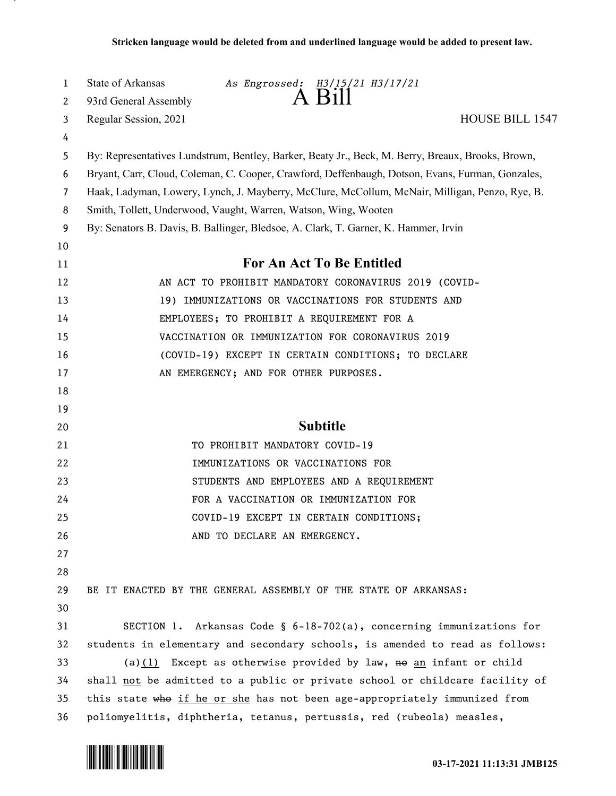| $\mathbf{1}$   | State of Arkansas<br>As Engrossed: H3/15/21 H3/17/21<br>$A$ Bill                                  |
|----------------|---------------------------------------------------------------------------------------------------|
| 2              | 93rd General Assembly<br><b>HOUSE BILL 1547</b>                                                   |
| 3<br>4         | Regular Session, 2021                                                                             |
| 5              | By: Representatives Lundstrum, Bentley, Barker, Beaty Jr., Beck, M. Berry, Breaux, Brooks, Brown, |
| 6              | Bryant, Carr, Cloud, Coleman, C. Cooper, Crawford, Deffenbaugh, Dotson, Evans, Furman, Gonzales,  |
| $\overline{7}$ | Haak, Ladyman, Lowery, Lynch, J. Mayberry, McClure, McCollum, McNair, Milligan, Penzo, Rye, B.    |
| 8              | Smith, Tollett, Underwood, Vaught, Warren, Watson, Wing, Wooten                                   |
| 9              | By: Senators B. Davis, B. Ballinger, Bledsoe, A. Clark, T. Garner, K. Hammer, Irvin               |
| 10             |                                                                                                   |
| 11             | For An Act To Be Entitled                                                                         |
| 12             | AN ACT TO PROHIBIT MANDATORY CORONAVIRUS 2019 (COVID-                                             |
| 13             | 19) IMMUNIZATIONS OR VACCINATIONS FOR STUDENTS AND                                                |
| 14             | EMPLOYEES; TO PROHIBIT A REQUIREMENT FOR A                                                        |
| 15             | VACCINATION OR IMMUNIZATION FOR CORONAVIRUS 2019                                                  |
| 16             | (COVID-19) EXCEPT IN CERTAIN CONDITIONS; TO DECLARE                                               |
| 17             | AN EMERGENCY; AND FOR OTHER PURPOSES.                                                             |
| 18             |                                                                                                   |
| 19             |                                                                                                   |
| 20             | <b>Subtitle</b>                                                                                   |
| 21             | TO PROHIBIT MANDATORY COVID-19                                                                    |
| 22             | IMMUNIZATIONS OR VACCINATIONS FOR                                                                 |
| 23             | STUDENTS AND EMPLOYEES AND A REQUIREMENT                                                          |
| 24             | FOR A VACCINATION OR IMMUNIZATION FOR                                                             |
| 25             | COVID-19 EXCEPT IN CERTAIN CONDITIONS;                                                            |
| 26             | AND TO DECLARE AN EMERGENCY.                                                                      |
| 27             |                                                                                                   |
| 28             |                                                                                                   |
| 29             | BE IT ENACTED BY THE GENERAL ASSEMBLY OF THE STATE OF ARKANSAS:                                   |
| 30             |                                                                                                   |
| 31             | SECTION 1. Arkansas Code § $6-18-702(a)$ , concerning immunizations for                           |
| 32             | students in elementary and secondary schools, is amended to read as follows:                      |
| 33             | (a) $(1)$ Except as otherwise provided by law, no an infant or child                              |
| 34             | shall not be admitted to a public or private school or childcare facility of                      |
| 35             | this state who if he or she has not been age-appropriately immunized from                         |
| 36             | poliomyelitis, diphtheria, tetanus, pertussis, red (rubeola) measles,                             |

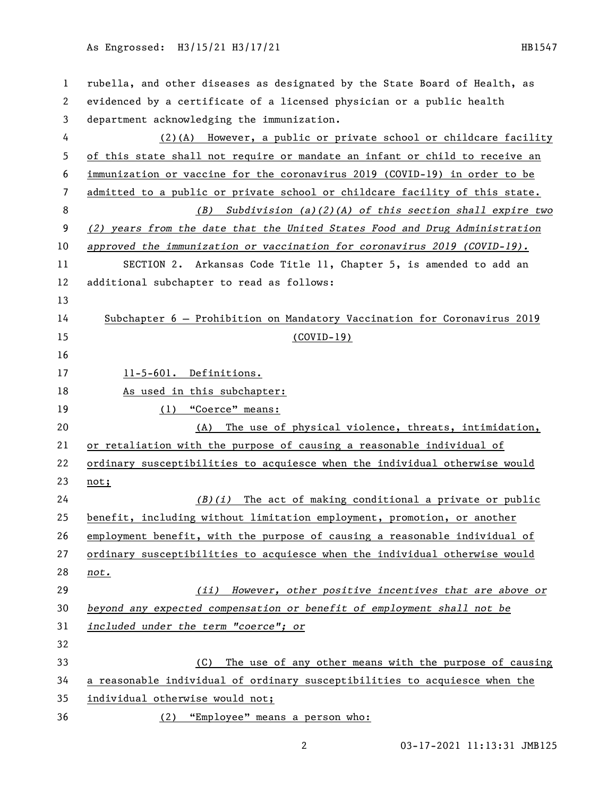## As Engrossed: H3/15/21 H3/17/21 121 122 122 123 123 1247

| $\mathbf{1}$ | rubella, and other diseases as designated by the State Board of Health, as  |
|--------------|-----------------------------------------------------------------------------|
| 2            | evidenced by a certificate of a licensed physician or a public health       |
| 3            | department acknowledging the immunization.                                  |
| 4            | (2)(A) However, a public or private school or childcare facility            |
| 5            | of this state shall not require or mandate an infant or child to receive an |
| 6            | immunization or vaccine for the coronavirus 2019 (COVID-19) in order to be  |
| 7            | admitted to a public or private school or childcare facility of this state. |
| 8            | Subdivision $(a)(2)(A)$ of this section shall expire two<br>(B)             |
| 9            | (2) years from the date that the United States Food and Drug Administration |
| 10           | approved the immunization or vaccination for coronavirus $2019$ (COVID-19). |
| 11           | SECTION 2. Arkansas Code Title 11, Chapter 5, is amended to add an          |
| 12           | additional subchapter to read as follows:                                   |
| 13           |                                                                             |
| 14           | Subchapter 6 - Prohibition on Mandatory Vaccination for Coronavirus 2019    |
| 15           | <u>(COVID-19)</u>                                                           |
| 16           |                                                                             |
| 17           | 11-5-601. Definitions.                                                      |
| 18           | As used in this subchapter:                                                 |
| 19           | (1) "Coerce" means:                                                         |
| 20           | (A) The use of physical violence, threats, intimidation,                    |
| 21           | or retaliation with the purpose of causing a reasonable individual of       |
| 22           | ordinary susceptibilities to acquiesce when the individual otherwise would  |
| 23           | not;                                                                        |
| 24           | $(B)(i)$ The act of making conditional a private or public                  |
| 25           | benefit, including without limitation employment, promotion, or another     |
| 26           | employment benefit, with the purpose of causing a reasonable individual of  |
| 27           | ordinary susceptibilities to acquiesce when the individual otherwise would  |
| 28           | not.                                                                        |
| 29           | However, other positive incentives that are above or<br>(ii)                |
| 30           | beyond any expected compensation or benefit of employment shall not be      |
| 31           | included under the term "coerce"; or                                        |
| 32           |                                                                             |
| 33           | The use of any other means with the purpose of causing<br>(C)               |
| 34           | a reasonable individual of ordinary susceptibilities to acquiesce when the  |
| 35           | individual otherwise would not;                                             |
| 36           | (2) "Employee" means a person who:                                          |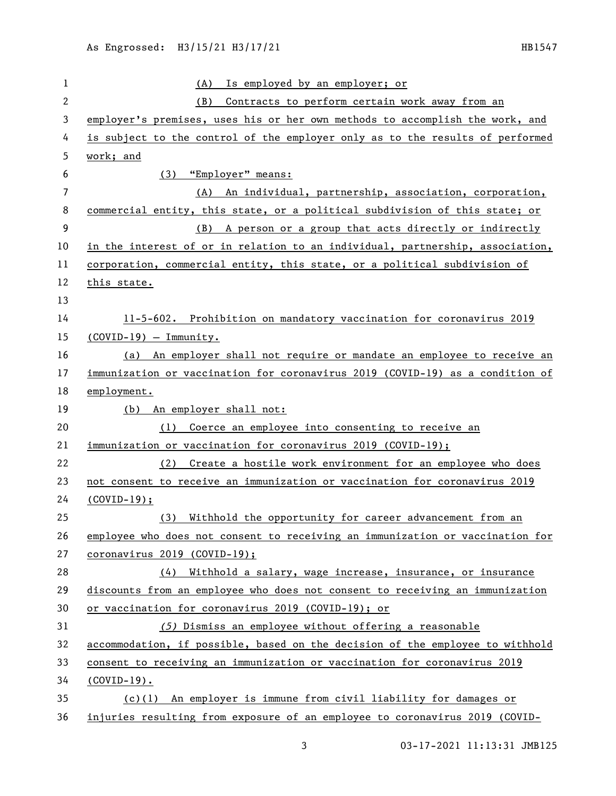| $\mathbf{1}$   | Is employed by an employer; or<br>(A)                                         |
|----------------|-------------------------------------------------------------------------------|
| $\mathbf{2}$   | Contracts to perform certain work away from an<br>(B)                         |
| 3              | employer's premises, uses his or her own methods to accomplish the work, and  |
| 4              | is subject to the control of the employer only as to the results of performed |
| 5              | work; and                                                                     |
| 6              | "Employer" means:<br>(3)                                                      |
| $\overline{7}$ | An individual, partnership, association, corporation,<br>(A)                  |
| 8              | commercial entity, this state, or a political subdivision of this state; or   |
| 9              | A person or a group that acts directly or indirectly<br>(B)                   |
| 10             | in the interest of or in relation to an individual, partnership, association, |
| 11             | corporation, commercial entity, this state, or a political subdivision of     |
| 12             | this state.                                                                   |
| 13             |                                                                               |
| 14             | 11-5-602. Prohibition on mandatory vaccination for coronavirus 2019           |
| 15             | $(COVID-19) - Immunity.$                                                      |
| 16             | (a) An employer shall not require or mandate an employee to receive an        |
| 17             | immunization or vaccination for coronavirus 2019 (COVID-19) as a condition of |
| 18             | employment.                                                                   |
| 19             | (b) An employer shall not:                                                    |
| 20             | (1) Coerce an employee into consenting to receive an                          |
| 21             | immunization or vaccination for coronavirus 2019 (COVID-19);                  |
| 22             | (2) Create a hostile work environment for an employee who does                |
| 23             | not consent to receive an immunization or vaccination for coronavirus 2019    |
| 24             | $(COVID-19);$                                                                 |
| 25             | Withhold the opportunity for career advancement from an<br>(3)                |
| 26             | employee who does not consent to receiving an immunization or vaccination for |
| 27             | $coronavirus 2019 (COVID-19);$                                                |
| 28             | (4) Withhold a salary, wage increase, insurance, or insurance                 |
| 29             | discounts from an employee who does not consent to receiving an immunization  |
| 30             | or vaccination for coronavirus 2019 (COVID-19); or                            |
| 31             | (5) Dismiss an employee without offering a reasonable                         |
| 32             | accommodation, if possible, based on the decision of the employee to withhold |
| 33             | consent to receiving an immunization or vaccination for coronavirus 2019      |
| 34             | $(COVID-19)$ .                                                                |
| 35             | (c)(1) An employer is immune from civil liability for damages or              |
| 36             | injuries resulting from exposure of an employee to coronavirus 2019 (COVID-   |

03-17-2021 11:13:31 JMB125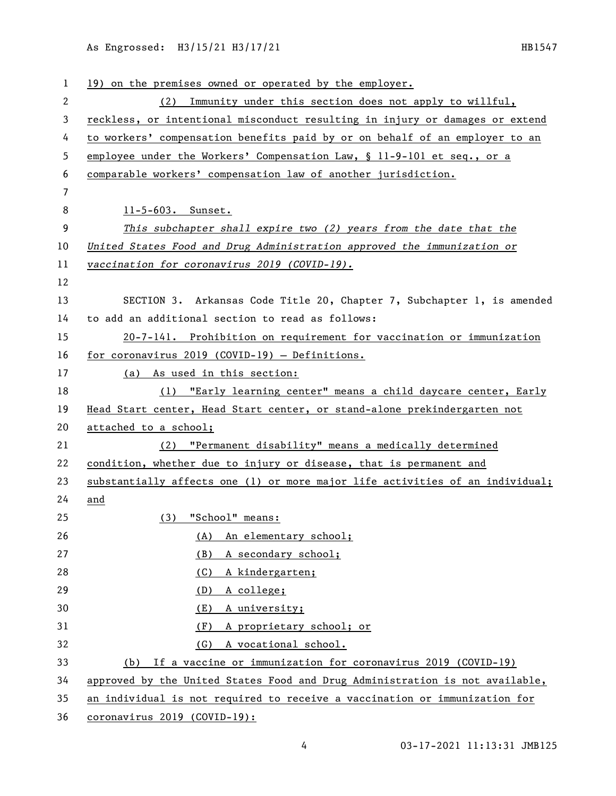As Engrossed: H3/15/21 H3/17/21 121 122 122 123 123 1247

| 1  | 19) on the premises owned or operated by the employer.                        |
|----|-------------------------------------------------------------------------------|
| 2  | Immunity under this section does not apply to willful,<br>(2)                 |
| 3  | reckless, or intentional misconduct resulting in injury or damages or extend  |
| 4  | to workers' compensation benefits paid by or on behalf of an employer to an   |
| 5  | employee under the Workers' Compensation Law, § 11-9-101 et seq., or a        |
| 6  | comparable workers' compensation law of another jurisdiction.                 |
| 7  |                                                                               |
| 8  | 11-5-603. Sunset.                                                             |
| 9  | This subchapter shall expire two (2) years from the date that the             |
| 10 | United States Food and Drug Administration approved the immunization or       |
| 11 | vaccination for coronavirus 2019 (COVID-19).                                  |
| 12 |                                                                               |
| 13 | SECTION 3. Arkansas Code Title 20, Chapter 7, Subchapter 1, is amended        |
| 14 | to add an additional section to read as follows:                              |
| 15 | 20-7-141. Prohibition on requirement for vaccination or immunization          |
| 16 | for coronavirus 2019 (COVID-19) - Definitions.                                |
| 17 | (a) As used in this section:                                                  |
| 18 | (1) "Early learning center" means a child daycare center, Early               |
| 19 | Head Start center, Head Start center, or stand-alone prekindergarten not      |
| 20 | attached to a school;                                                         |
| 21 | (2) "Permanent disability" means a medically determined                       |
| 22 | condition, whether due to injury or disease, that is permanent and            |
| 23 | substantially affects one (1) or more major life activities of an individual; |
| 24 | and                                                                           |
| 25 | (3) "School" means:                                                           |
| 26 | An elementary school;<br>(A)                                                  |
| 27 | A secondary school;<br>(B)                                                    |
| 28 | A kindergarten;<br>(C)                                                        |
| 29 | A college;<br>(D)                                                             |
| 30 | A university;<br>(E)                                                          |
| 31 | A proprietary school; or<br>(F)                                               |
| 32 | A vocational school.<br>(G)                                                   |
| 33 | If a vaccine or immunization for coronavirus 2019 (COVID-19)<br>(b)           |
| 34 | approved by the United States Food and Drug Administration is not available,  |
| 35 | an individual is not required to receive a vaccination or immunization for    |
| 36 | coronavirus 2019 (COVID-19):                                                  |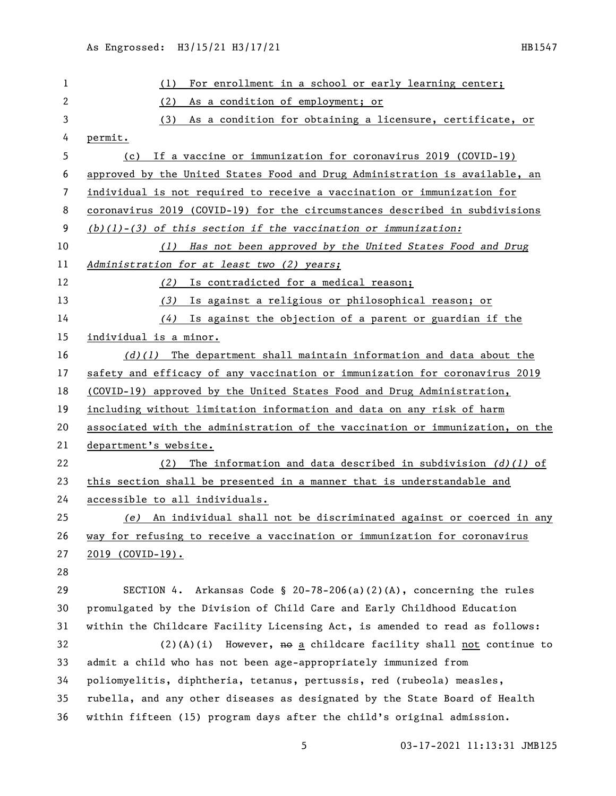| 1  | For enrollment in a school or early learning center;<br>(1)                   |
|----|-------------------------------------------------------------------------------|
| 2  | (2)<br>As a condition of employment; or                                       |
| 3  | As a condition for obtaining a licensure, certificate, or<br>(3)              |
| 4  | permit.                                                                       |
| 5  | If a vaccine or immunization for coronavirus 2019 (COVID-19)<br>(c)           |
| 6  | approved by the United States Food and Drug Administration is available, an   |
| 7  | individual is not required to receive a vaccination or immunization for       |
| 8  | coronavirus 2019 (COVID-19) for the circumstances described in subdivisions   |
| 9  | $(b)(1)-(3)$ of this section if the vaccination or immunization:              |
| 10 | (1) Has not been approved by the United States Food and Drug                  |
| 11 | Administration for at least two (2) years;                                    |
| 12 | Is contradicted for a medical reason;<br>(2)                                  |
| 13 | Is against a religious or philosophical reason; or<br>(3)                     |
| 14 | $(4)$ Is against the objection of a parent or guardian if the                 |
| 15 | individual is a minor.                                                        |
| 16 | $(d)(1)$ The department shall maintain information and data about the         |
| 17 | safety and efficacy of any vaccination or immunization for coronavirus 2019   |
| 18 | (COVID-19) approved by the United States Food and Drug Administration,        |
| 19 | including without limitation information and data on any risk of harm         |
| 20 | associated with the administration of the vaccination or immunization, on the |
| 21 | department's website.                                                         |
| 22 | The information and data described in subdivision $(d)(1)$ of<br>(2)          |
| 23 | this section shall be presented in a manner that is understandable and        |
| 24 | accessible to all individuals.                                                |
| 25 | (e) An individual shall not be discriminated against or coerced in any        |
| 26 | way for refusing to receive a vaccination or immunization for coronavirus     |
| 27 | <u>2019 (COVID-19).</u>                                                       |
| 28 |                                                                               |
| 29 | SECTION 4. Arkansas Code § 20-78-206(a)(2)(A), concerning the rules           |
| 30 | promulgated by the Division of Child Care and Early Childhood Education       |
| 31 | within the Childcare Facility Licensing Act, is amended to read as follows:   |
| 32 | $(2)(A)(i)$ However, $A\theta$ a childcare facility shall not continue to     |
| 33 | admit a child who has not been age-appropriately immunized from               |
| 34 | poliomyelitis, diphtheria, tetanus, pertussis, red (rubeola) measles,         |
| 35 | rubella, and any other diseases as designated by the State Board of Health    |
| 36 | within fifteen (15) program days after the child's original admission.        |

03-17-2021 11:13:31 JMB125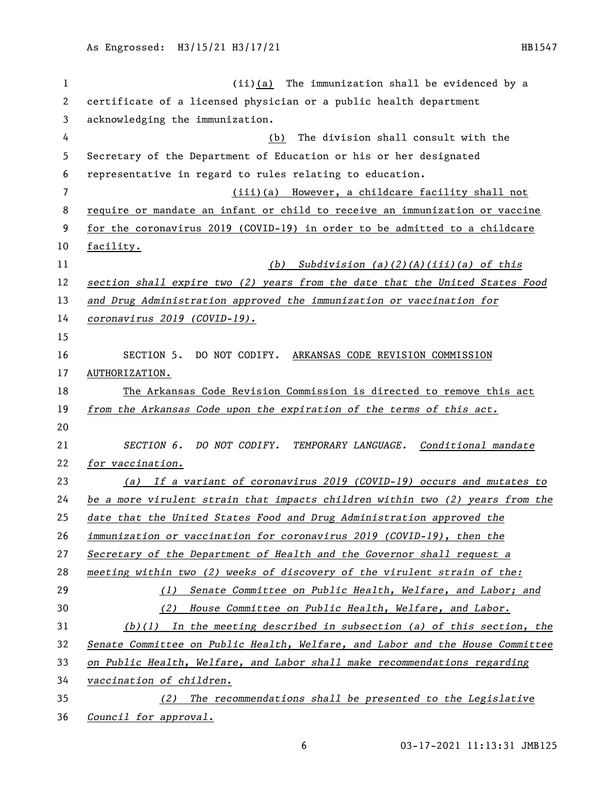(ii)(a) The immunization shall be evidenced by a certificate of a licensed physician or a public health department acknowledging the immunization. (b) The division shall consult with the Secretary of the Department of Education or his or her designated representative in regard to rules relating to education. (iii)(a) However, a childcare facility shall not require or mandate an infant or child to receive an immunization or vaccine for the coronavirus 2019 (COVID-19) in order to be admitted to a childcare facility. *(b) Subdivision (a)(2)(A)(iii)(a) of this section shall expire two (2) years from the date that the United States Food and Drug Administration approved the immunization or vaccination for coronavirus 2019 (COVID-19).* SECTION 5. DO NOT CODIFY. ARKANSAS CODE REVISION COMMISSION AUTHORIZATION. The Arkansas Code Revision Commission is directed to remove this act *from the Arkansas Code upon the expiration of the terms of this act. SECTION 6. DO NOT CODIFY. TEMPORARY LANGUAGE. Conditional mandate for vaccination. (a) If a variant of coronavirus 2019 (COVID-19) occurs and mutates to be a more virulent strain that impacts children within two (2) years from the date that the United States Food and Drug Administration approved the immunization or vaccination for coronavirus 2019 (COVID-19), then the Secretary of the Department of Health and the Governor shall request a meeting within two (2) weeks of discovery of the virulent strain of the: (1) Senate Committee on Public Health, Welfare, and Labor; and (2) House Committee on Public Health, Welfare, and Labor. (b)(1) In the meeting described in subsection (a) of this section, the Senate Committee on Public Health, Welfare, and Labor and the House Committee on Public Health, Welfare, and Labor shall make recommendations regarding vaccination of children. (2) The recommendations shall be presented to the Legislative* 

*Council for approval.*